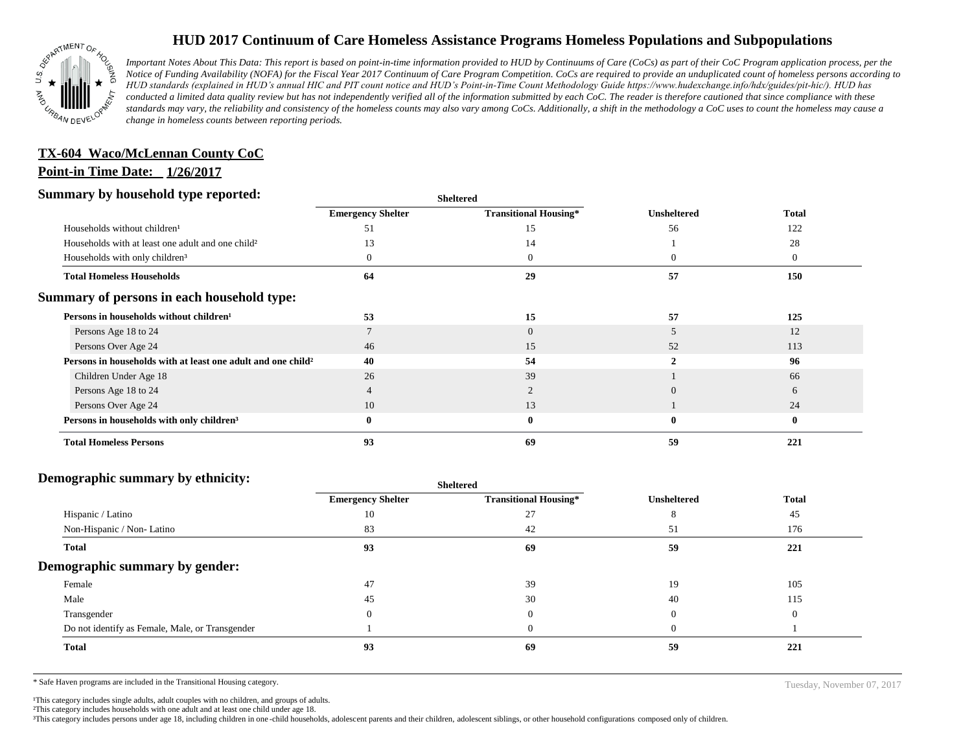

# **HUD 2017 Continuum of Care Homeless Assistance Programs Homeless Populations and Subpopulations**

*Important Notes About This Data: This report is based on point-in-time information provided to HUD by Continuums of Care (CoCs) as part of their CoC Program application process, per the Notice of Funding Availability (NOFA) for the Fiscal Year 2017 Continuum of Care Program Competition. CoCs are required to provide an unduplicated count of homeless persons according to HUD standards (explained in HUD's annual HIC and PIT count notice and HUD's Point-in-Time Count Methodology Guide https://www.hudexchange.info/hdx/guides/pit-hic/). HUD has conducted a limited data quality review but has not independently verified all of the information submitted by each CoC. The reader is therefore cautioned that since compliance with these*  standards may vary, the reliability and consistency of the homeless counts may also vary among CoCs. Additionally, a shift in the methodology a CoC uses to count the homeless may cause a *change in homeless counts between reporting periods.*

# **TX-604 Waco/McLennan County CoC**

## **Point-in Time Date: 1/26/2017**

#### **Summary by household type reported:**

| эчнинагу бу почвеною туре герогіесі:                                     |                          | <b>Sheltered</b>             |                    | <b>Total</b>   |
|--------------------------------------------------------------------------|--------------------------|------------------------------|--------------------|----------------|
|                                                                          | <b>Emergency Shelter</b> | <b>Transitional Housing*</b> | <b>Unsheltered</b> |                |
| Households without children <sup>1</sup>                                 | 51                       | 15                           | 56                 | 122            |
| Households with at least one adult and one child <sup>2</sup>            | 13                       | 14                           |                    | 28             |
| Households with only children <sup>3</sup>                               |                          | $\overline{0}$               | $\Omega$           | $\overline{0}$ |
| <b>Total Homeless Households</b>                                         | 64                       | 29                           | 57                 | 150            |
| Summary of persons in each household type:                               |                          |                              |                    |                |
| Persons in households without children <sup>1</sup>                      | 53                       | 15                           | 57                 | 125            |
| Persons Age 18 to 24                                                     |                          | $\overline{0}$               |                    | 12             |
| Persons Over Age 24                                                      | 46                       | 15                           | 52                 | 113            |
| Persons in households with at least one adult and one child <sup>2</sup> | 40                       | 54                           |                    | 96             |
| Children Under Age 18                                                    | 26                       | 39                           |                    | 66             |
| Persons Age 18 to 24                                                     |                          |                              | $\Omega$           | 6              |
| Persons Over Age 24                                                      | 10                       | 13                           |                    | 24             |
| Persons in households with only children <sup>3</sup>                    |                          | $\bf{0}$                     | $\bf{0}$           | $\bf{0}$       |
| <b>Total Homeless Persons</b>                                            | 93                       | 69                           | 59                 | 221            |

#### **Demographic summary by ethnicity:**

|                                                 |                          | snewered                     |                    | <b>Total</b> |  |
|-------------------------------------------------|--------------------------|------------------------------|--------------------|--------------|--|
|                                                 | <b>Emergency Shelter</b> | <b>Transitional Housing*</b> | <b>Unsheltered</b> |              |  |
| Hispanic / Latino                               | 10                       | 27                           | $\circ$            | 45           |  |
| Non-Hispanic / Non-Latino                       | 83                       | 42                           | 51                 | 176          |  |
| <b>Total</b>                                    | 93                       | 69                           | 59                 | 221          |  |
| Demographic summary by gender:                  |                          |                              |                    |              |  |
| Female                                          | 47                       | 39                           | 19                 | 105          |  |
| Male                                            | 45                       | 30                           | 40                 | 115          |  |
| Transgender                                     | $\Omega$                 | $\Omega$                     |                    | $\Omega$     |  |
| Do not identify as Female, Male, or Transgender |                          | $\Omega$                     |                    |              |  |
| Total                                           | 93                       | 69                           | 59                 | 221          |  |
|                                                 |                          |                              |                    |              |  |

**Sheltered**

\* Safe Haven programs are included in the Transitional Housing category. Tuesday, November 07, 2017

<sup>1</sup>This category includes single adults, adult couples with no children, and groups of adults.

²This category includes households with one adult and at least one child under age 18.

³This category includes persons under age 18, including children in one -child households, adolescent parents and their children, adolescent siblings, or other household configurations composed only of children.